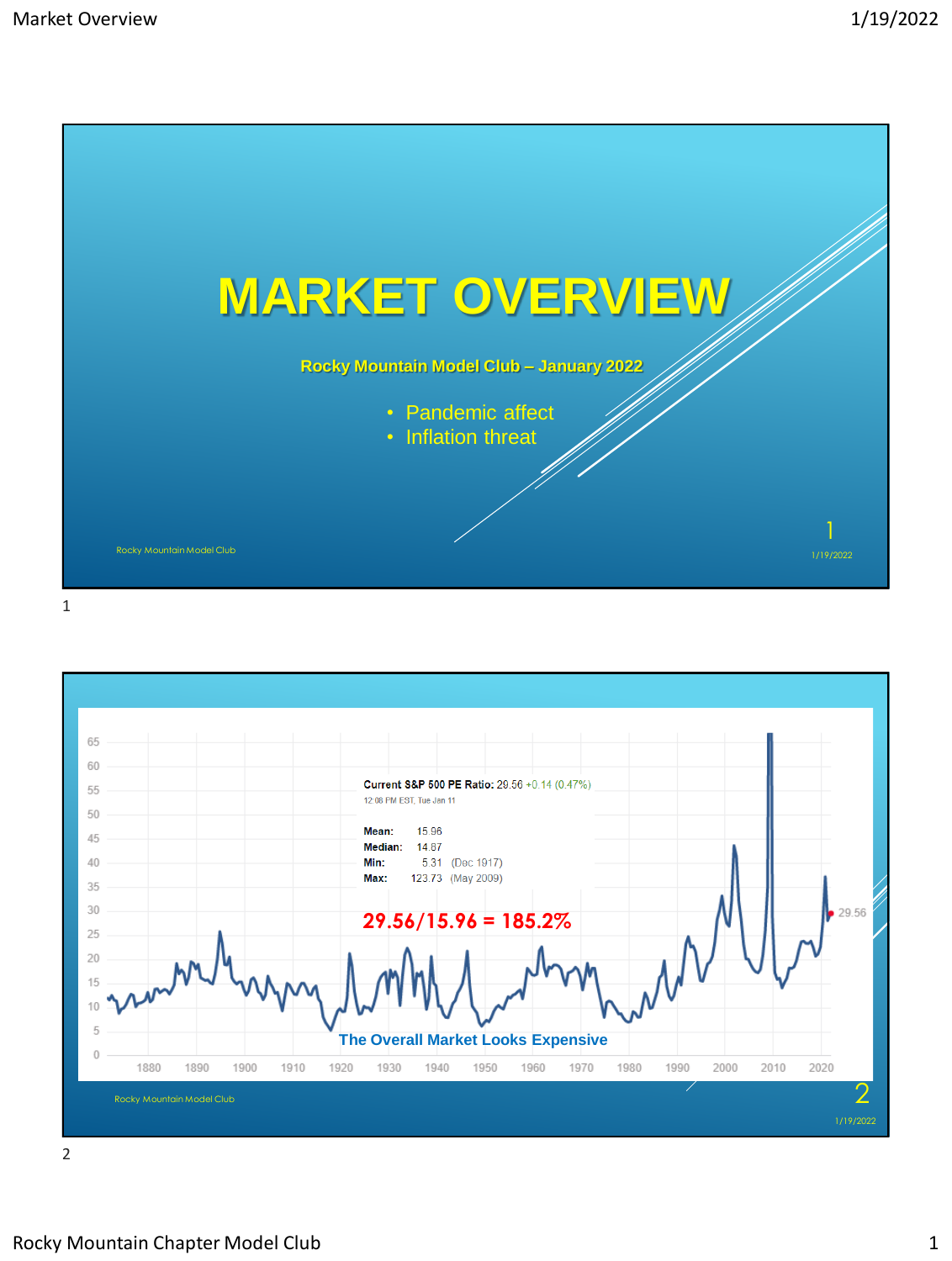

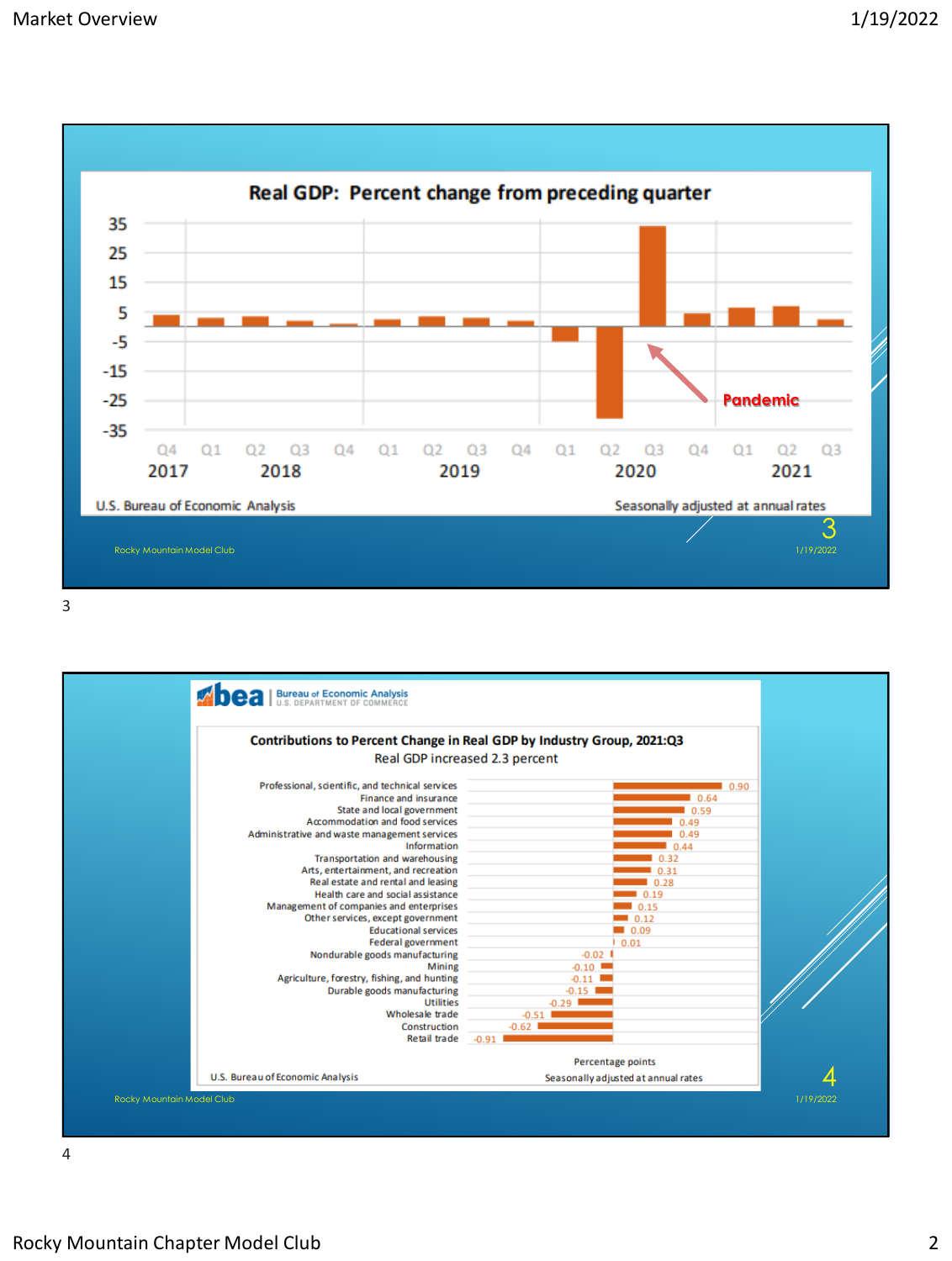

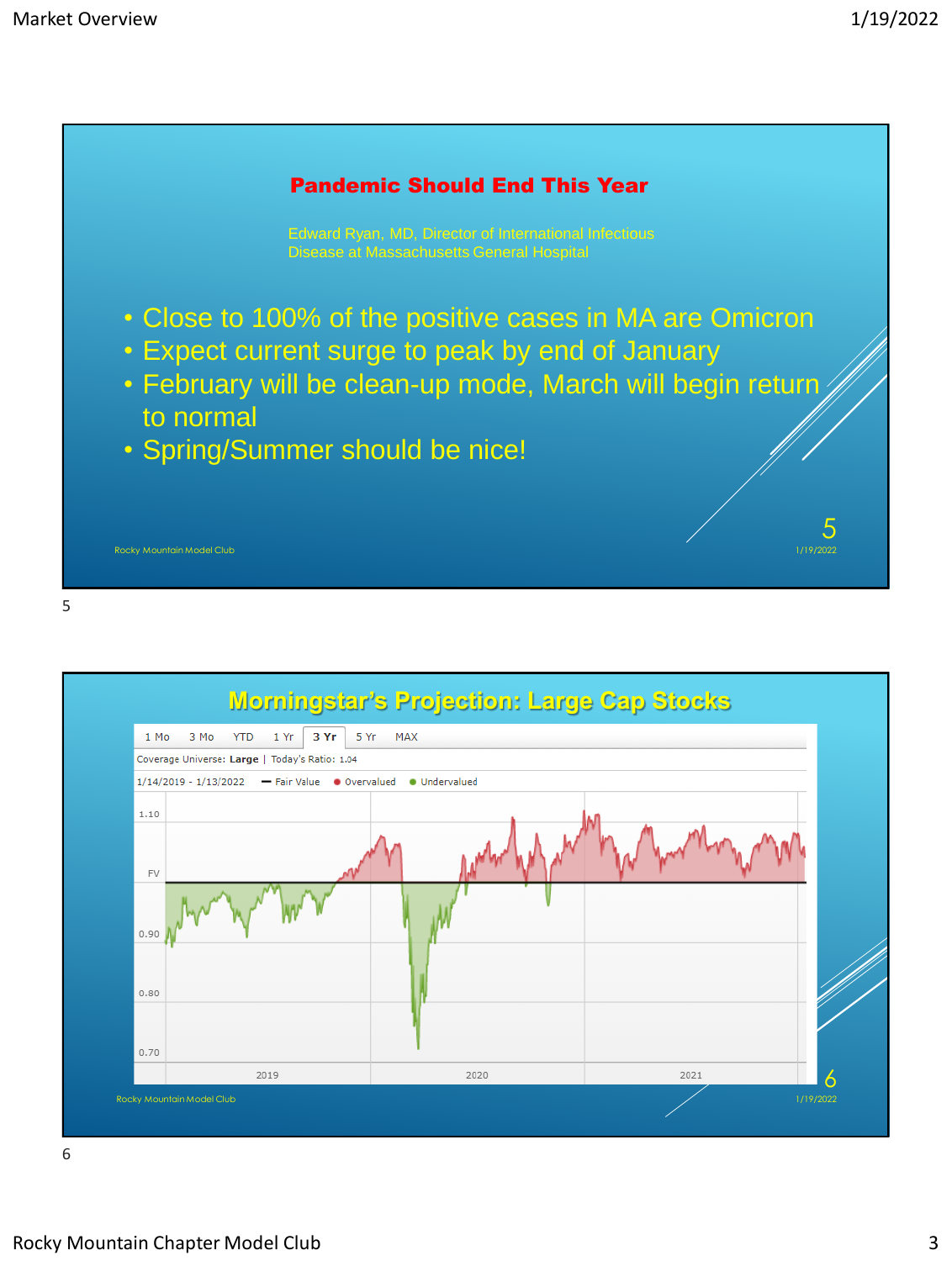

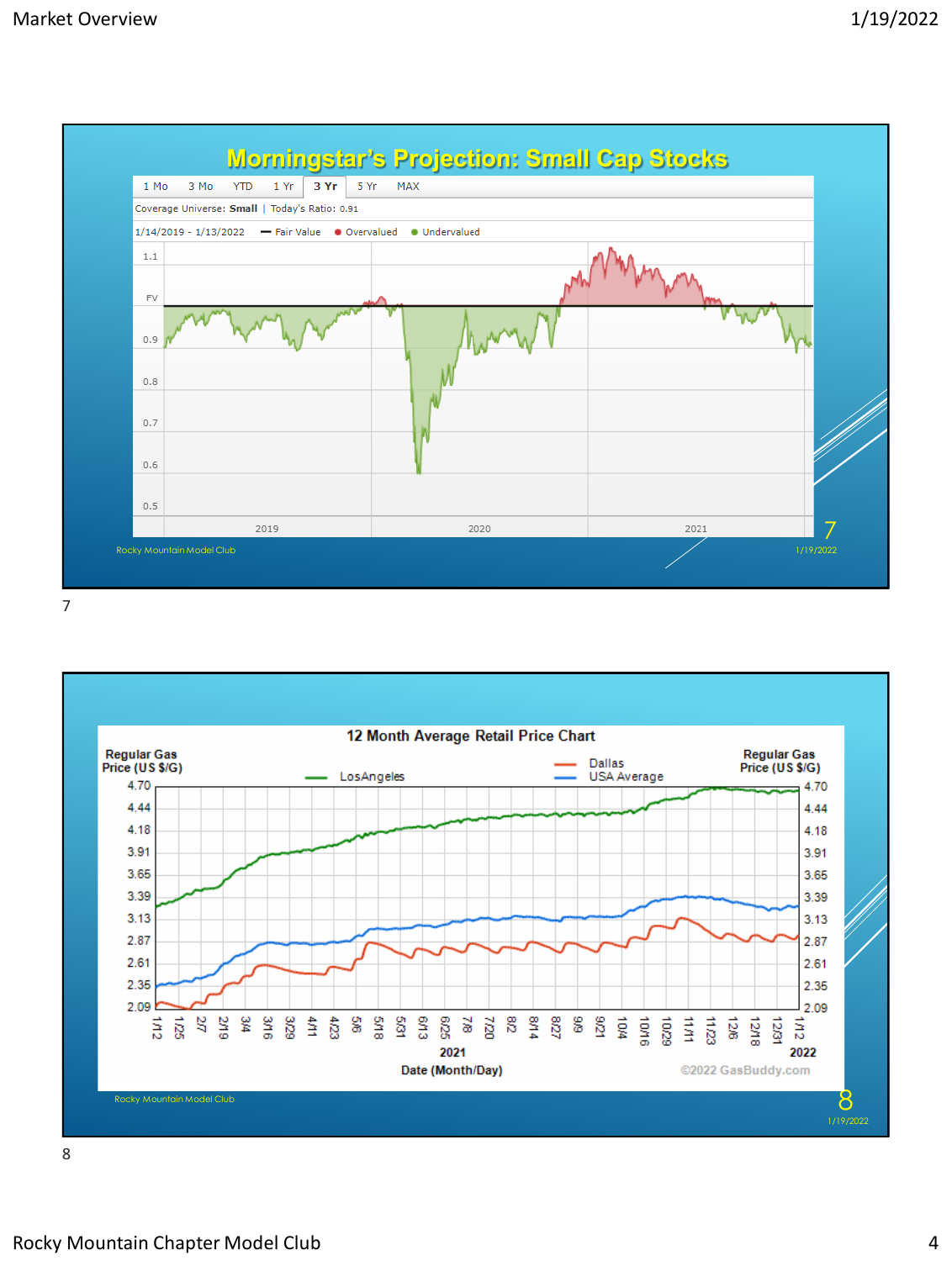





Rocky Mountain Chapter Model Club 4 and 2008 and 2008 and 2008 and 2008 and 2008 and 2008 and 2008 and 2008 and 2008 and 2008 and 2008 and 2008 and 2008 and 2008 and 2008 and 2008 and 2008 and 2008 and 2008 and 2008 and 20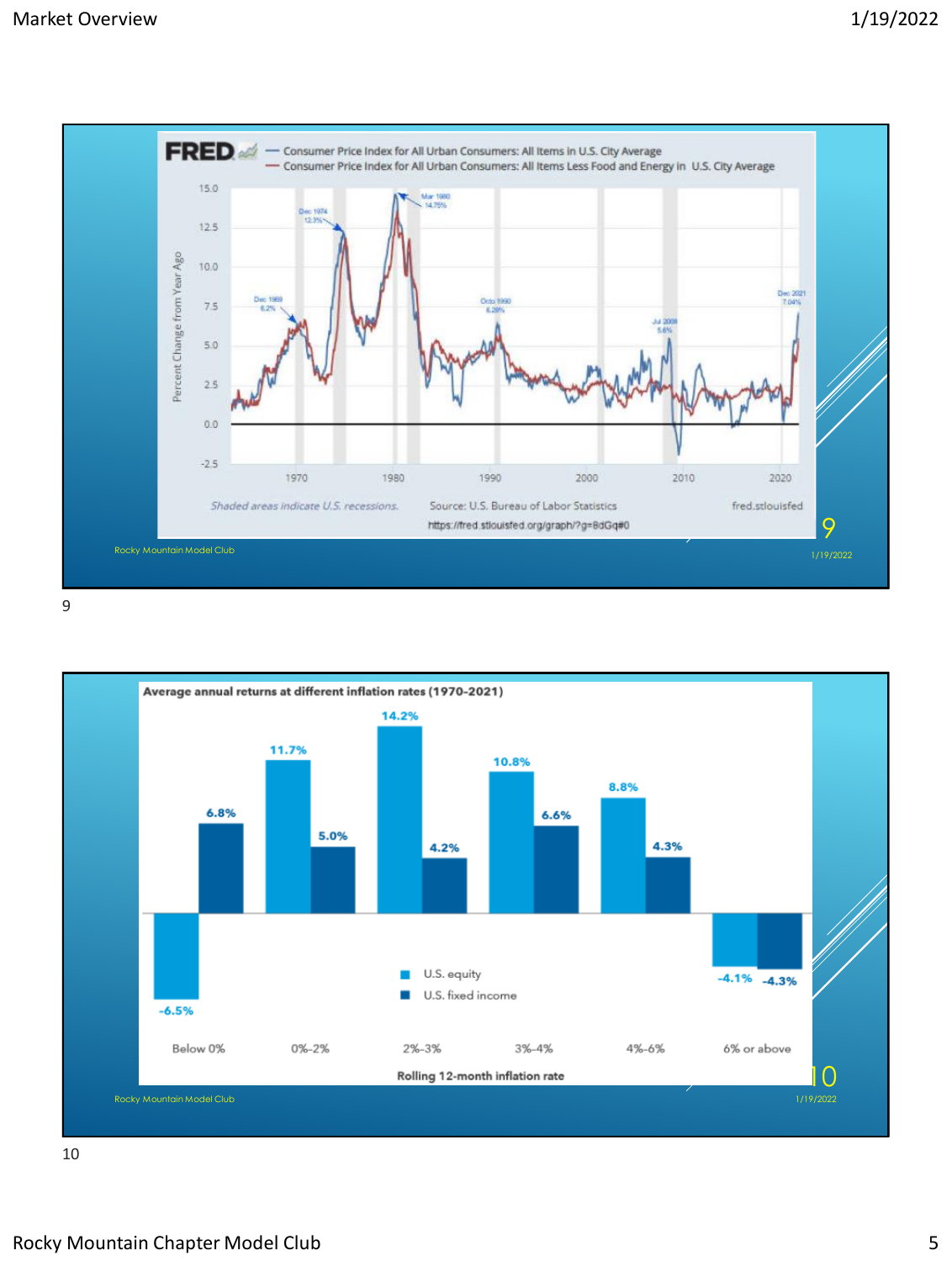